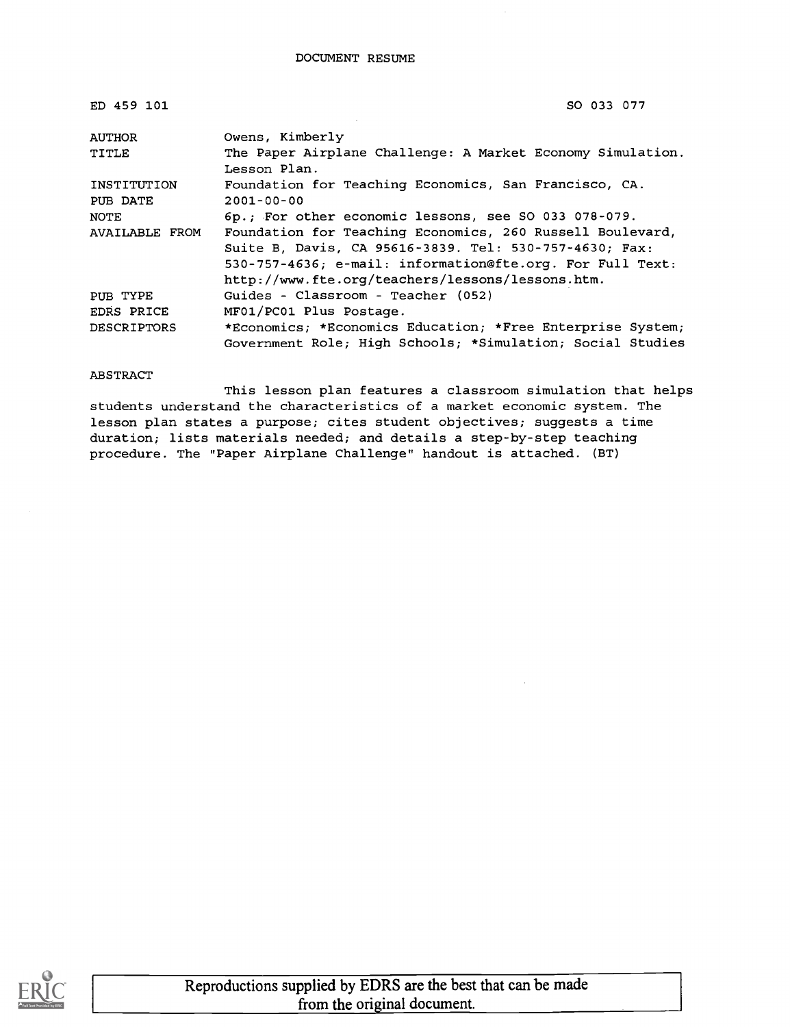| ED 459 101         | SO 033 077                                                                                                                                                                       |
|--------------------|----------------------------------------------------------------------------------------------------------------------------------------------------------------------------------|
| AUTHOR             | Owens, Kimberly                                                                                                                                                                  |
| TITLE              | The Paper Airplane Challenge: A Market Economy Simulation.<br>Lesson Plan.                                                                                                       |
| INSTITUTION        | Foundation for Teaching Economics, San Francisco, CA.                                                                                                                            |
| PUB DATE           | $2001 - 00 - 00$                                                                                                                                                                 |
| NOTE               | 6p.; For other economic lessons, see SO 033 078-079.                                                                                                                             |
| AVAILABLE FROM     | Foundation for Teaching Economics, 260 Russell Boulevard,<br>Suite B, Davis, CA 95616-3839. Tel: 530-757-4630; Fax:<br>530-757-4636; e-mail: information@fte.org. For Full Text: |
|                    | http://www.fte.org/teachers/lessons/lessons.htm.                                                                                                                                 |
| PUB TYPE           | Guides - Classroom - Teacher (052)                                                                                                                                               |
| EDRS PRICE         | MF01/PC01 Plus Postage.                                                                                                                                                          |
| <b>DESCRIPTORS</b> | *Economics; *Economics Education; *Free Enterprise System;<br>Government Role; High Schools; *Simulation; Social Studies                                                         |

#### ABSTRACT

This lesson plan features a classroom simulation that helps students understand the characteristics of a market economic system. The lesson plan states a purpose; cites student objectives; suggests a time duration; lists materials needed; and details a step-by-step teaching procedure. The "Paper Airplane Challenge" handout is attached. (BT)

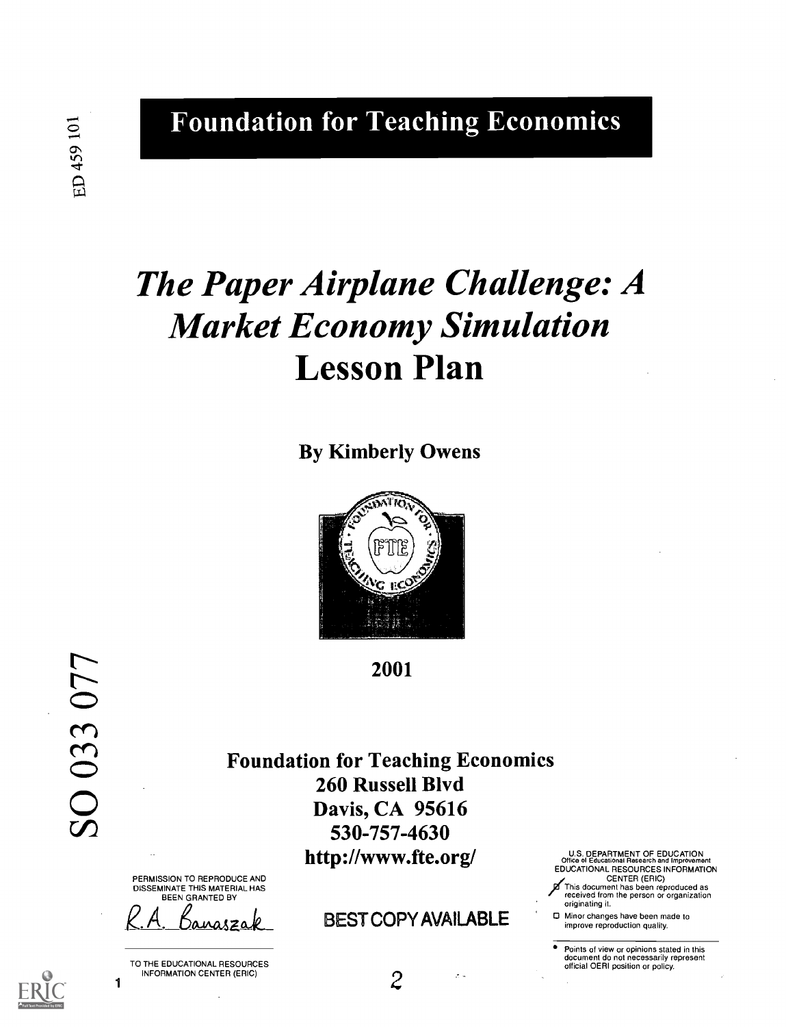ED 459 101

Foundation for Teaching Economics

## The Paper Airplane Challenge: A Market Economy Simulation Lesson Plan

By Kimberly Owens



2001

SO 033 077

Foundation for Teaching Economics 260 Russell Blvd Davis, CA 95616 530-757-4630 http://www.fte.org/

PERMISSION TO REPRODUCE AND DISSEMINATE THIS MATERIAL HAS BEEN GRANTED BY

1 TO THE EDUCATIONAL RESOURCES<br>INFORMATION CENTER (ERIC) INFORMATION CENTER (ERIC)  $2^{z-2}$ 

**BEST COPY AVAILABLE** /This document has been reproduced as received from the person or organization originating it.

0 Minor changes have been made to improve reproduction quality.

Points of view or opinions stated in this document do not necessarily represent official OERI position or policy.

U.S. DEPARTMENT OF EDUCATION Office of Educational Research and Improvement EDUCATIONAL RESOURCES INFORMATION CENTER (ERIC)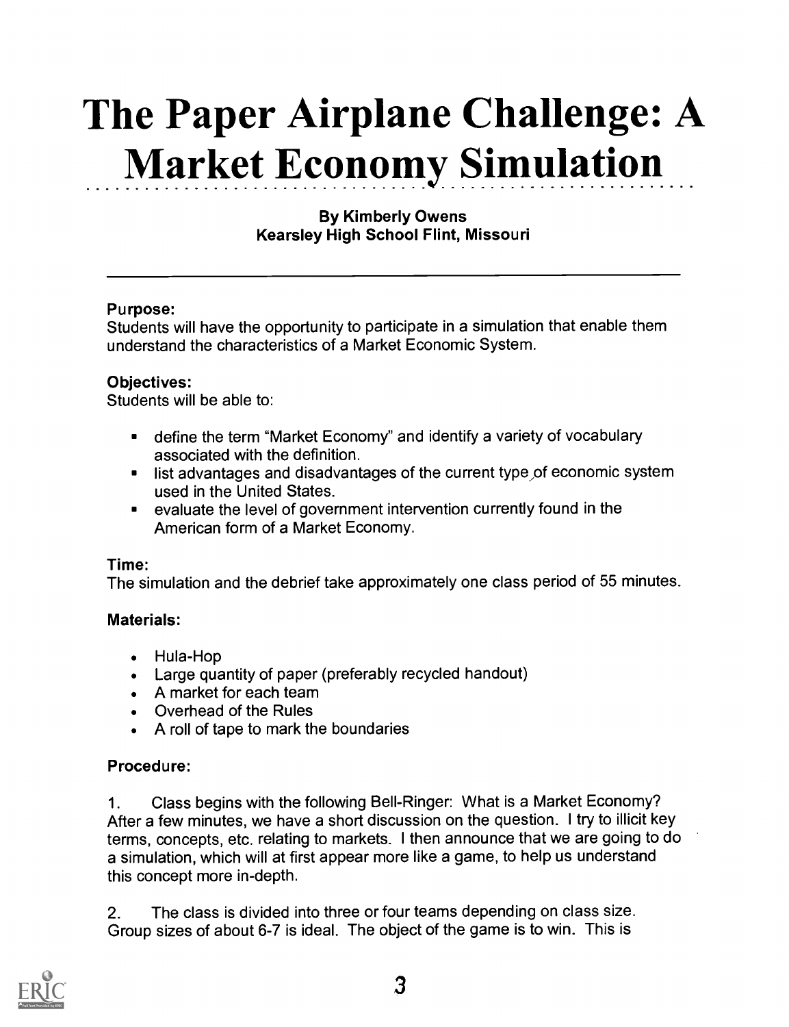# The Paper Airplane Challenge: A Market Economy Simulation

#### By Kimberly Owens Kearsley High School Flint, Missouri

#### Purpose:

Students will have the opportunity to participate in a simulation that enable them understand the characteristics of a Market Economic System.

#### Objectives:

Students will be able to:

- define the term "Market Economy" and identify a variety of vocabulary  $\blacksquare$ associated with the definition.
- **EXECT** list advantages and disadvantages of the current type of economic system used in the United States.
- evaluate the level of government intervention currently found in the  $\blacksquare$ American form of a Market Economy.

#### Time:

The simulation and the debrief take approximately one class period of 55 minutes.

#### Materials:

- Hula-Hop
- Large quantity of paper (preferably recycled handout)
- A market for each team
- Overhead of the Rules
- A roll of tape to mark the boundaries

#### Procedure:

1. Class begins with the following Bell-Ringer: What is a Market Economy? After a few minutes, we have a short discussion on the question. I try to illicit key terms, concepts, etc. relating to markets. I then announce that we are going to do a simulation, which will at first appear more like a game, to help us understand this concept more in-depth.

2. The class is divided into three or four teams depending on class size. Group sizes of about 6-7 is ideal. The object of the game is to win. This is

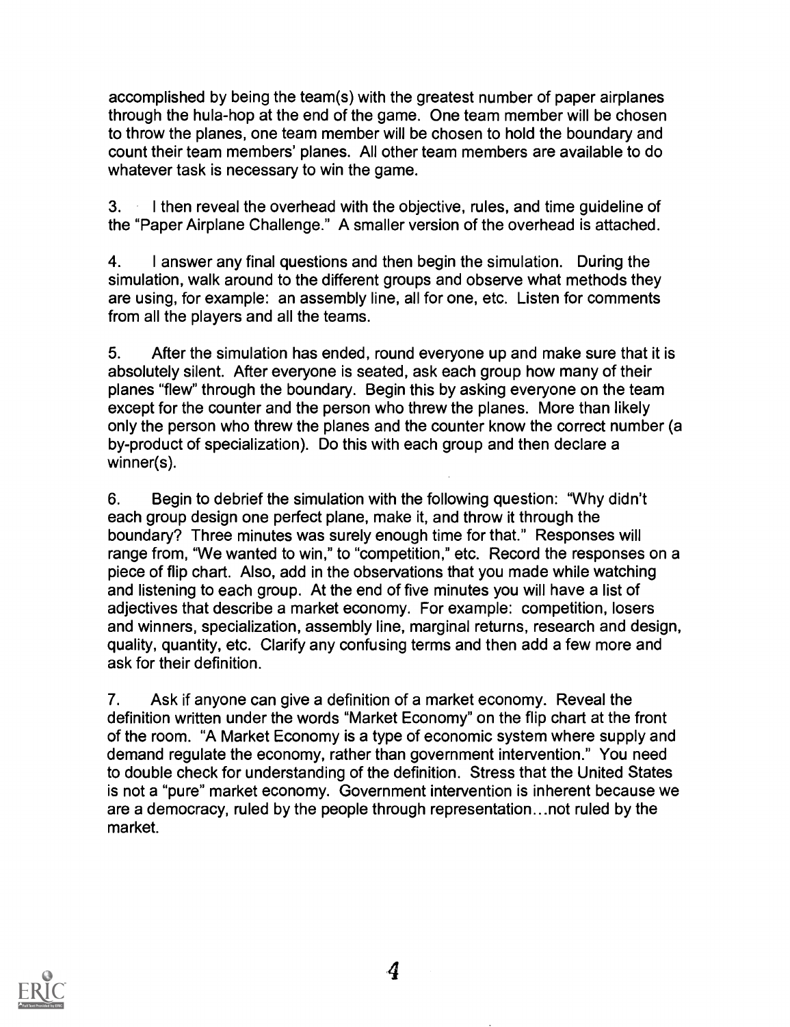accomplished by being the team(s) with the greatest number of paper airplanes through the hula-hop at the end of the game. One team member will be chosen to throw the planes, one team member will be chosen to hold the boundary and count their team members' planes. All other team members are available to do whatever task is necessary to win the game.

3. I then reveal the overhead with the objective, rules, and time guideline of the "Paper Airplane Challenge." A smaller version of the overhead is attached.

4. I answer any final questions and then begin the simulation. During the simulation, walk around to the different groups and observe what methods they are using, for example: an assembly line, all for one, etc. Listen for comments from all the players and all the teams.

5. After the simulation has ended, round everyone up and make sure that it is absolutely silent. After everyone is seated, ask each group how many of their planes "flew" through the boundary. Begin this by asking everyone on the team except for the counter and the person who threw the planes. More than likely only the person who threw the planes and the counter know the correct number (a by-product of specialization). Do this with each group and then declare a winner(s).

6. Begin to debrief the simulation with the following question: "Why didn't each group design one perfect plane, make it, and throw it through the boundary? Three minutes was surely enough time for that." Responses will range from, "We wanted to win," to "competition," etc. Record the responses on a piece of flip chart. Also, add in the observations that you made while watching and listening to each group. At the end of five minutes you will have a list of adjectives that describe a market economy. For example: competition, losers and winners, specialization, assembly line, marginal returns, research and design, quality, quantity, etc. Clarify any confusing terms and then add a few more and ask for their definition.

7. Ask if anyone can give a definition of a market economy. Reveal the definition written under the words "Market Economy" on the flip chart at the front of the room. "A Market Economy is a type of economic system where supply and demand regulate the economy, rather than government intervention." You need to double check for understanding of the definition. Stress that the United States is not a "pure" market economy. Government intervention is inherent because we are a democracy, ruled by the people through representation...not ruled by the market.

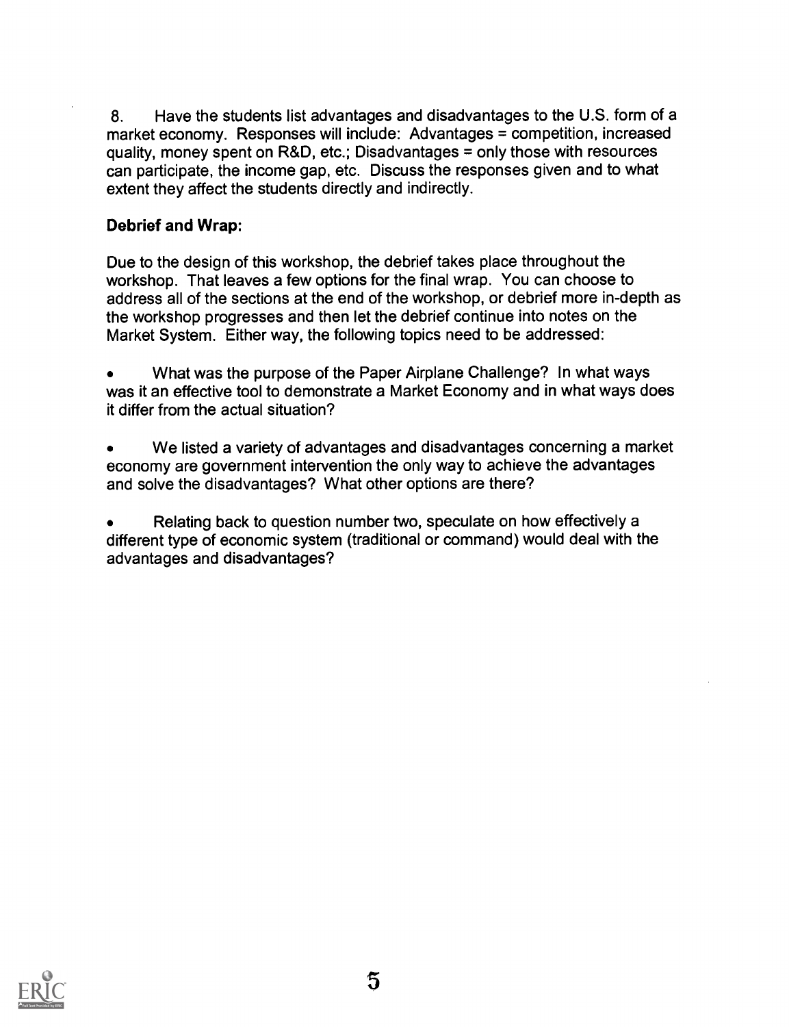8. Have the students list advantages and disadvantages to the U.S. form of a market economy. Responses will include: Advantages = competition, increased quality, money spent on R&D, etc.; Disadvantages = only those with resources can participate, the income gap, etc. Discuss the responses given and to what extent they affect the students directly and indirectly.

#### Debrief and Wrap:

Due to the design of this workshop, the debrief takes place throughout the workshop. That leaves a few options for the final wrap. You can choose to address all of the sections at the end of the workshop, or debrief more in-depth as the workshop progresses and then let the debrief continue into notes on the Market System. Either way, the following topics need to be addressed:

What was the purpose of the Paper Airplane Challenge? In what ways was it an effective tool to demonstrate a Market Economy and in what ways does it differ from the actual situation?

We listed a variety of advantages and disadvantages concerning a market economy are government intervention the only way to achieve the advantages and solve the disadvantages? What other options are there?

Relating back to question number two, speculate on how effectively a different type of economic system (traditional or command) would deal with the advantages and disadvantages?

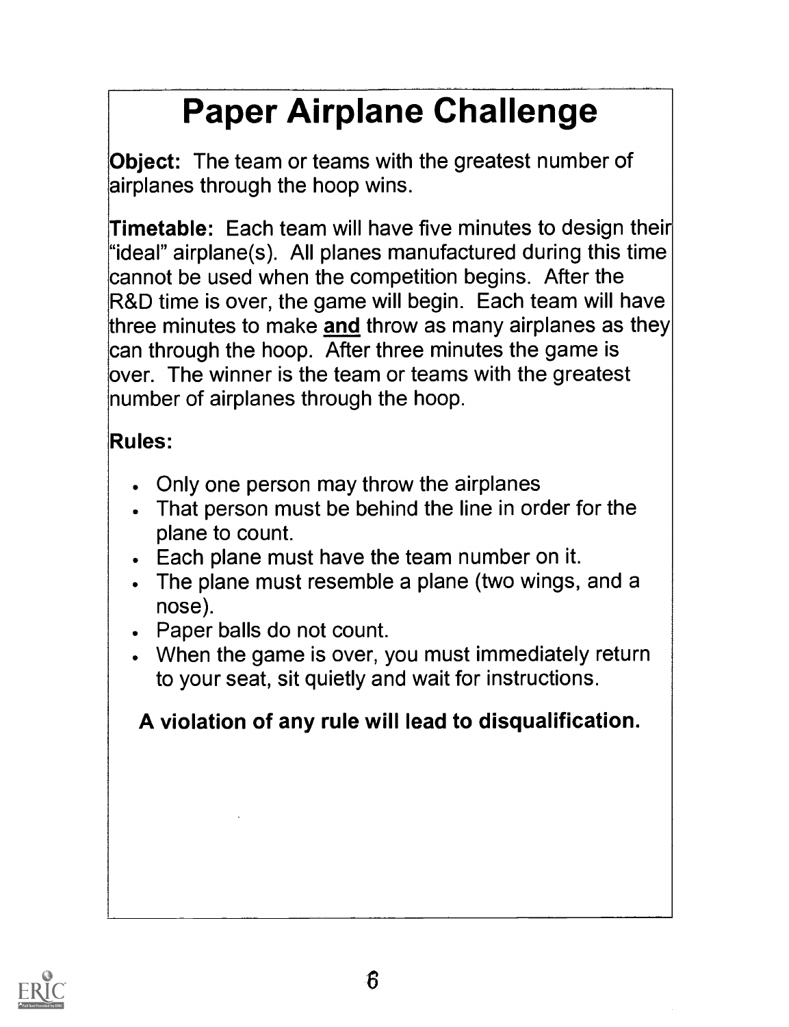# Paper Airplane Challenge

Object: The team or teams with the greatest number of airplanes through the hoop wins.

Timetable: Each team will have five minutes to design their "ideal" airplane(s). All planes manufactured during this time cannot be used when the competition begins. After the R&D time is over, the game will begin. Each team will have three minutes to make and throw as many airplanes as they can through the hoop. After three minutes the game is over. The winner is the team or teams with the greatest number of airplanes through the hoop.

### Rules:

- Only one person may throw the airplanes
- That person must be behind the line in order for the plane to count.
- Each plane must have the team number on it.
- The plane must resemble a plane (two wings, and a nose).
- Paper balls do not count.
- When the game is over, you must immediately return to your seat, sit quietly and wait for instructions.

### A violation of any rule will lead to disqualification.